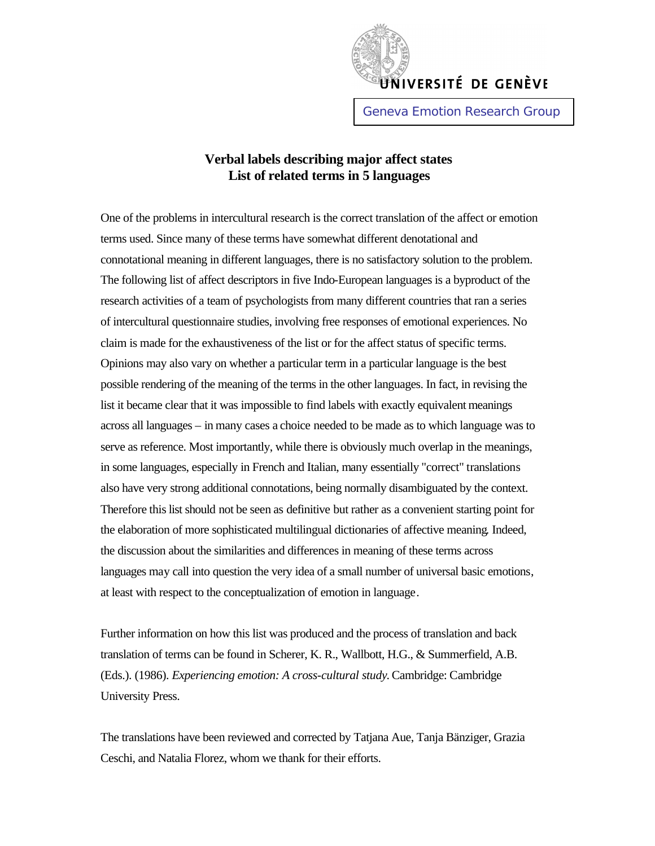

## **Verbal labels describing major affect states List of related terms in 5 languages**

One of the problems in intercultural research is the correct translation of the affect or emotion terms used. Since many of these terms have somewhat different denotational and connotational meaning in different languages, there is no satisfactory solution to the problem. The following list of affect descriptors in five Indo-European languages is a byproduct of the research activities of a team of psychologists from many different countries that ran a series of intercultural questionnaire studies, involving free responses of emotional experiences. No claim is made for the exhaustiveness of the list or for the affect status of specific terms. Opinions may also vary on whether a particular term in a particular language is the best possible rendering of the meaning of the terms in the other languages. In fact, in revising the list it became clear that it was impossible to find labels with exactly equivalent meanings across all languages – in many cases a choice needed to be made as to which language was to serve as reference. Most importantly, while there is obviously much overlap in the meanings, in some languages, especially in French and Italian, many essentially "correct" translations also have very strong additional connotations, being normally disambiguated by the context. Therefore this list should not be seen as definitive but rather as a convenient starting point for the elaboration of more sophisticated multilingual dictionaries of affective meaning. Indeed, the discussion about the similarities and differences in meaning of these terms across languages may call into question the very idea of a small number of universal basic emotions, at least with respect to the conceptualization of emotion in language.

Further information on how this list was produced and the process of translation and back translation of terms can be found in Scherer, K. R., Wallbott, H.G., & Summerfield, A.B. (Eds.). (1986). *Experiencing emotion: A cross-cultural study*. Cambridge: Cambridge University Press.

The translations have been reviewed and corrected by Tatjana Aue, Tanja Bänziger, Grazia Ceschi, and Natalia Florez, whom we thank for their efforts.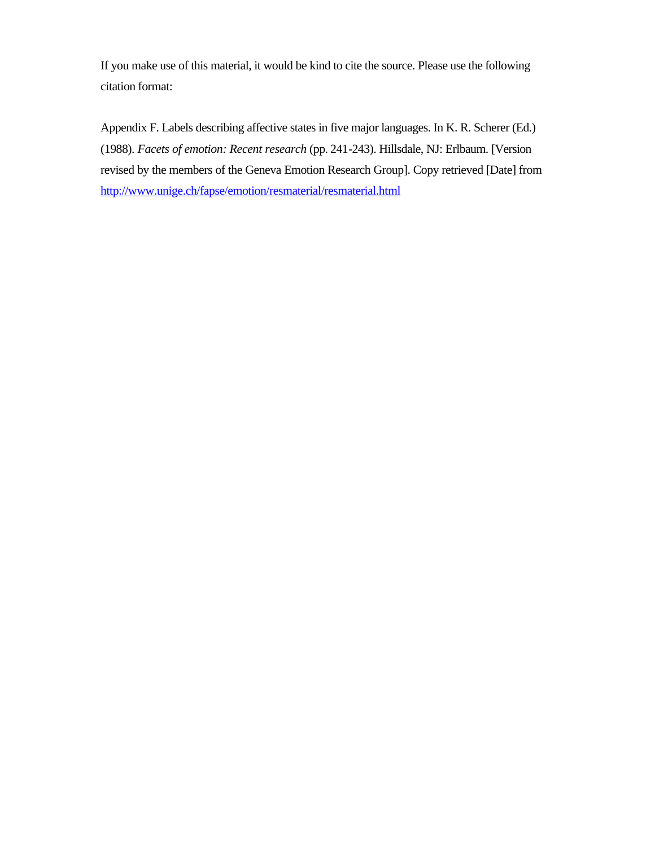If you make use of this material, it would be kind to cite the source. Please use the following citation format:

Appendix F. Labels describing affective states in five major languages. In K. R. Scherer (Ed.) (1988). *Facets of emotion: Recent research* (pp. 241-243). Hillsdale, NJ: Erlbaum. [Version revised by the members of the Geneva Emotion Research Group]. Copy retrieved [Date] from http://www.unige.ch/fapse/emotion/resmaterial/resmaterial.html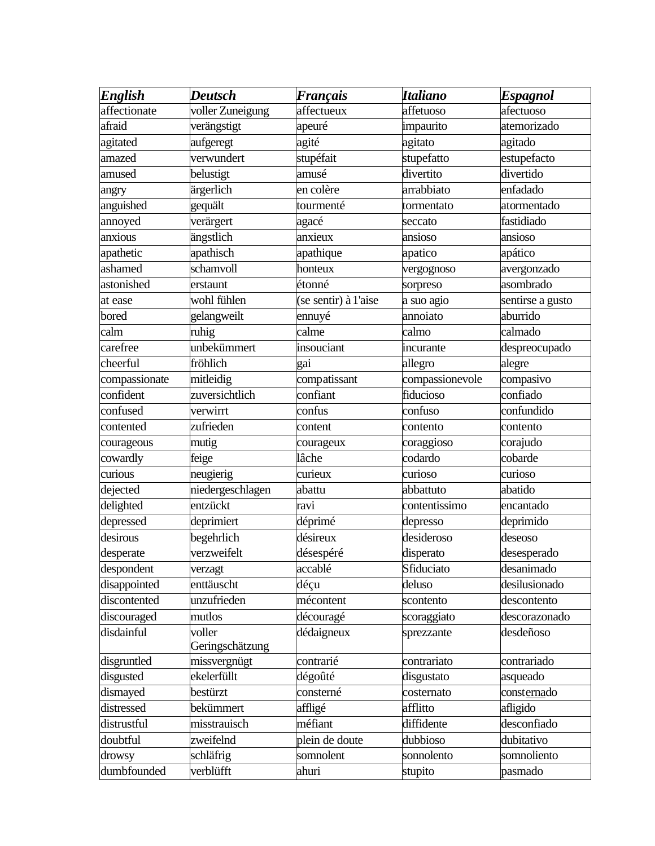| <b>English</b> | <b>Deutsch</b>   | <b>Français</b>      | <b>Italiano</b> | <b>Espagnol</b>  |
|----------------|------------------|----------------------|-----------------|------------------|
| affectionate   | voller Zuneigung | affectueux           | affetuoso       | afectuoso        |
| afraid         | verängstigt      | apeuré               | impaurito       | atemorizado      |
| agitated       | aufgeregt        | agité                | agitato         | agitado          |
| amazed         | verwundert       | stupéfait            | stupefatto      | estupefacto      |
| amused         | belustigt        | amusé                | divertito       | divertido        |
| angry          | ärgerlich        | en colère            | arrabbiato      | enfadado         |
| anguished      | gequält          | tourmenté            | tormentato      | atormentado      |
| annoyed        | verärgert        | agacé                | seccato         | fastidiado       |
| anxious        | ängstlich        | anxieux              | ansioso         | ansioso          |
| apathetic      | apathisch        | apathique            | apatico         | apático          |
| ashamed        | schamvoll        | honteux              | vergognoso      | avergonzado      |
| astonished     | erstaunt         | étonné               | sorpreso        | asombrado        |
| at ease        | wohl fühlen      | (se sentir) à l'aise | a suo agio      | sentirse a gusto |
| bored          | gelangweilt      | ennuyé               | annoiato        | aburrido         |
| calm           | ruhig            | calme                | calmo           | calmado          |
| carefree       | unbekümmert      | insouciant           | incurante       | despreocupado    |
| cheerful       | fröhlich         | gai                  | allegro         | alegre           |
| compassionate  | mitleidig        | compatissant         | compassionevole | compasivo        |
| confident      | zuversichtlich   | confiant             | fiducioso       | confiado         |
| confused       | verwirrt         | confus               | confuso         | confundido       |
| contented      | zufrieden        | content              | contento        | contento         |
| courageous     | mutig            | courageux            | coraggioso      | corajudo         |
| cowardly       | feige            | lâche                | codardo         | cobarde          |
| curious        | neugierig        | curieux              | curioso         | curioso          |
| dejected       | niedergeschlagen | abattu               | abbattuto       | abatido          |
| delighted      | entzückt         | ravi                 | contentissimo   | encantado        |
| depressed      | deprimiert       | déprimé              | depresso        | deprimido        |
| desirous       | begehrlich       | désireux             | desideroso      | deseoso          |
| desperate      | verzweifelt      | désespéré            | disperato       | desesperado      |
| despondent     | verzagt          | accablé              | Sfiduciato      | desanimado       |
| disappointed   | enttäuscht       | déçu                 | deluso          | desilusionado    |
| discontented   | unzufrieden      | mécontent            | scontento       | descontento      |
| discouraged    | mutlos           | découragé            | scoraggiato     | descorazonado    |
| disdainful     | voller           | dédaigneux           | sprezzante      | desdeñoso        |
|                | Geringschätzung  |                      |                 |                  |
| disgruntled    | missvergnügt     | contrarié            | contrariato     | contrariado      |
| disgusted      | ekelerfüllt      | dégoûté              | disgustato      | asqueado         |
| dismayed       | bestürzt         | consterné            | costernato      | consternado      |
| distressed     | bekümmert        | affligé              | afflitto        | afligido         |
| distrustful    | misstrauisch     | méfiant              | diffidente      | desconfiado      |
| doubtful       | zweifelnd        | plein de doute       | dubbioso        | dubitativo       |
| drowsy         | schläfrig        | somnolent            | sonnolento      | somnoliento      |
| dumbfounded    | verblüfft        | ahuri                | stupito         | pasmado          |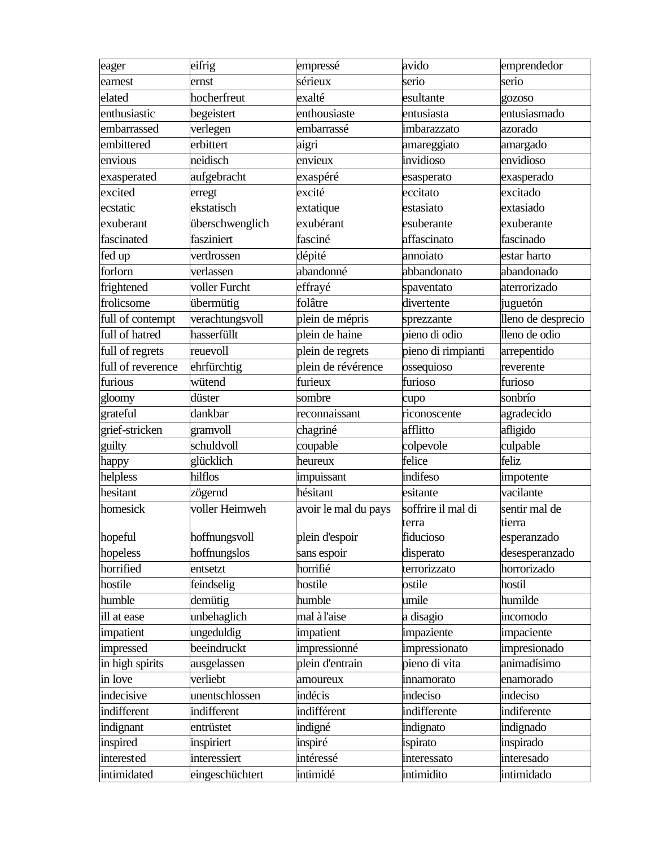| eager             | eifrig          | empressé             | avido              | emprendedor        |
|-------------------|-----------------|----------------------|--------------------|--------------------|
| earnest           | ernst           | sérieux              | serio              | serio              |
| elated            | hocherfreut     | exalté               | esultante          | gozoso             |
| enthusiastic      | begeistert      | enthousiaste         | entusiasta         | entusiasmado       |
| embarrassed       | verlegen        | embarrassé           | imbarazzato        | azorado            |
| embittered        | erbittert       | aigri                | amareggiato        | amargado           |
| envious           | neidisch        | envieux              | invidioso          | envidioso          |
| exasperated       | aufgebracht     | exaspéré             | esasperato         | exasperado         |
| excited           | erregt          | excité               | eccitato           | excitado           |
| ecstatic          | ekstatisch      | extatique            | estasiato          | extasiado          |
| exuberant         | überschwenglich | exubérant            | esuberante         | exuberante         |
| fascinated        | fasziniert      | fasciné              | affascinato        | fascinado          |
| fed up            | verdrossen      | dépité               | annoiato           | estar harto        |
| forlorn           | verlassen       | abandonné            | abbandonato        | abandonado         |
| frightened        | voller Furcht   | effrayé              | spaventato         | aterrorizado       |
| frolicsome        | übermütig       | folâtre              | divertente         | juguetón           |
| full of contempt  | verachtungsvoll | plein de mépris      | sprezzante         | lleno de desprecio |
| full of hatred    | hasserfüllt     | plein de haine       | pieno di odio      | lleno de odio      |
| full of regrets   | reuevoll        | plein de regrets     | pieno di rimpianti | arrepentido        |
| full of reverence | ehrfürchtig     | plein de révérence   | ossequioso         | reverente          |
| furious           | wütend          | furieux              | furioso            | furioso            |
| gloomy            | düster          | sombre               | cupo               | sonbrío            |
| grateful          | dankbar         | reconnaissant        | riconoscente       | agradecido         |
| grief-stricken    | gramvoll        | chagriné             | afflitto           | afligido           |
| guilty            | schuldvoll      | coupable             | colpevole          | culpable           |
| happy             | glücklich       | heureux              | felice             | feliz              |
| helpless          | hilflos         | impuissant           | indifeso           | impotente          |
| hesitant          | zögernd         | hésitant             | esitante           | vacilante          |
| homesick          | voller Heimweh  | avoir le mal du pays | soffrire il mal di | sentir mal de      |
|                   |                 |                      | terra              | tierra             |
| hopeful           | hoffnungsvoll   | plein d'espoir       | fiducioso          | esperanzado        |
| hopeless          | hoffnungslos    | sans espoir          | disperato          | desesperanzado     |
| horrified         | entsetzt        | horrifié             | terrorizzato       | horrorizado        |
| hostile           | feindselig      | hostile              | ostile             | hostil             |
| humble            | demütig         | humble               | umile              | humilde            |
| ill at ease       | unbehaglich     | mal à l'aise         | a disagio          | incomodo           |
| impatient         | ungeduldig      | impatient            | impaziente         | impaciente         |
| impressed         | beeindruckt     | impressionné         | impressionato      | impresionado       |
| in high spirits   | ausgelassen     | plein d'entrain      | pieno di vita      | animadísimo        |
| in love           | verliebt        | amoureux             | innamorato         | enamorado          |
| indecisive        | unentschlossen  | indécis              | indeciso           | indeciso           |
| indifferent       | indifferent     | indifférent          | indifferente       | indiferente        |
| indignant         | entrüstet       | indigné              | indignato          | indignado          |
| inspired          | inspiriert      | inspiré              | ispirato           | inspirado          |
| interested        | interessiert    | intéressé            | interessato        | interesado         |
| intimidated       | eingeschüchtert | intimidé             | intimidito         | intimidado         |